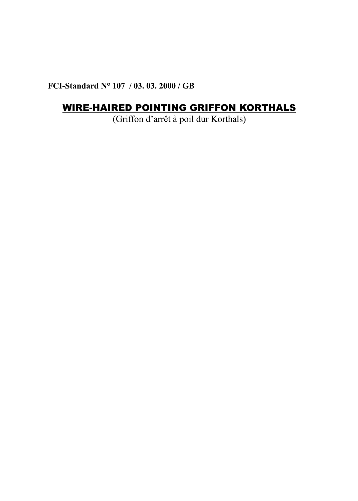**FCI-Standard N° 107 / 03. 03. 2000 / GB**

# WIRE-HAIRED POINTING GRIFFON KORTHALS

(Griffon d'arrêt à poil dur Korthals)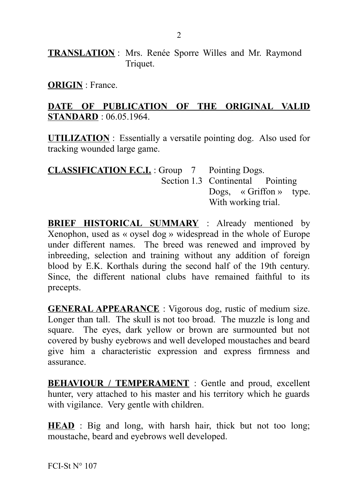**TRANSLATION** : Mrs. Renée Sporre Willes and Mr. Raymond Triquet.

**ORIGIN** : France.

#### **DATE OF PUBLICATION OF THE ORIGINAL VALID STANDARD** : 06.05.1964.

**UTILIZATION** : Essentially a versatile pointing dog. Also used for tracking wounded large game.

| <b>CLASSIFICATION F.C.I.</b> : Group 7 Pointing Dogs. |                                  |
|-------------------------------------------------------|----------------------------------|
|                                                       | Section 1.3 Continental Pointing |
|                                                       | Dogs, $\alpha$ Griffon » type.   |
|                                                       | With working trial.              |

**BRIEF HISTORICAL SUMMARY** : Already mentioned by Xenophon, used as « oysel dog » widespread in the whole of Europe under different names. The breed was renewed and improved by inbreeding, selection and training without any addition of foreign blood by E.K. Korthals during the second half of the 19th century. Since, the different national clubs have remained faithful to its precepts.

**GENERAL APPEARANCE** : Vigorous dog, rustic of medium size. Longer than tall. The skull is not too broad. The muzzle is long and square. The eyes, dark yellow or brown are surmounted but not covered by bushy eyebrows and well developed moustaches and beard give him a characteristic expression and express firmness and assurance.

**BEHAVIOUR / TEMPERAMENT** : Gentle and proud, excellent hunter, very attached to his master and his territory which he guards with vigilance. Very gentle with children.

**HEAD** : Big and long, with harsh hair, thick but not too long; moustache, beard and eyebrows well developed.

FCI-St  $N^{\circ}$  107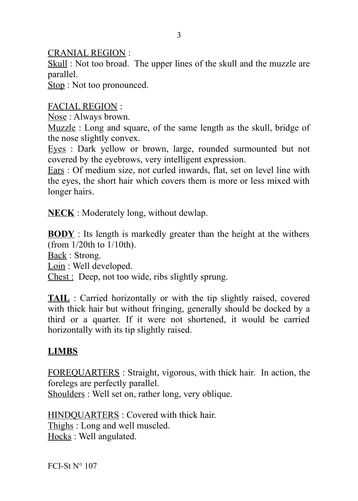CRANIAL REGION :

Skull: Not too broad. The upper lines of the skull and the muzzle are parallel.

Stop : Not too pronounced.

### FACIAL REGION :

Nose : Always brown.

Muzzle : Long and square, of the same length as the skull, bridge of the nose slightly convex.

Eyes : Dark yellow or brown, large, rounded surmounted but not covered by the eyebrows, very intelligent expression.

Ears : Of medium size, not curled inwards, flat, set on level line with the eyes, the short hair which covers them is more or less mixed with longer hairs.

**NECK** : Moderately long, without dewlap.

**BODY** : Its length is markedly greater than the height at the withers (from 1/20th to 1/10th).

Back : Strong.

Loin : Well developed.

Chest : Deep, not too wide, ribs slightly sprung.

**TAIL** : Carried horizontally or with the tip slightly raised, covered with thick hair but without fringing, generally should be docked by a third or a quarter. If it were not shortened, it would be carried horizontally with its tip slightly raised.

## **LIMBS**

FOREQUARTERS : Straight, vigorous, with thick hair. In action, the forelegs are perfectly parallel.

Shoulders : Well set on, rather long, very oblique.

HINDQUARTERS : Covered with thick hair. Thighs : Long and well muscled. Hocks : Well angulated.

FCI-St  $N^{\circ}$  107